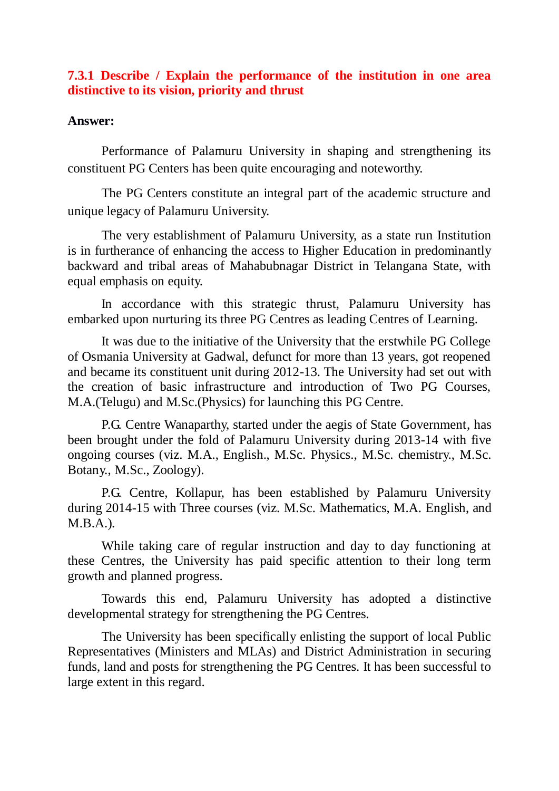## **7.3.1 Describe / Explain the performance of the institution in one area distinctive to its vision, priority and thrust**

## **Answer:**

Performance of Palamuru University in shaping and strengthening its constituent PG Centers has been quite encouraging and noteworthy.

The PG Centers constitute an integral part of the academic structure and unique legacy of Palamuru University.

The very establishment of Palamuru University, as a state run Institution is in furtherance of enhancing the access to Higher Education in predominantly backward and tribal areas of Mahabubnagar District in Telangana State, with equal emphasis on equity.

In accordance with this strategic thrust, Palamuru University has embarked upon nurturing its three PG Centres as leading Centres of Learning.

It was due to the initiative of the University that the erstwhile PG College of Osmania University at Gadwal, defunct for more than 13 years, got reopened and became its constituent unit during 2012-13. The University had set out with the creation of basic infrastructure and introduction of Two PG Courses, M.A.(Telugu) and M.Sc.(Physics) for launching this PG Centre.

P.G. Centre Wanaparthy, started under the aegis of State Government, has been brought under the fold of Palamuru University during 2013-14 with five ongoing courses (viz. M.A., English., M.Sc. Physics., M.Sc. chemistry., M.Sc. Botany., M.Sc., Zoology).

P.G. Centre, Kollapur, has been established by Palamuru University during 2014-15 with Three courses (viz. M.Sc. Mathematics, M.A. English, and M.B.A.).

While taking care of regular instruction and day to day functioning at these Centres, the University has paid specific attention to their long term growth and planned progress.

Towards this end, Palamuru University has adopted a distinctive developmental strategy for strengthening the PG Centres.

The University has been specifically enlisting the support of local Public Representatives (Ministers and MLAs) and District Administration in securing funds, land and posts for strengthening the PG Centres. It has been successful to large extent in this regard.